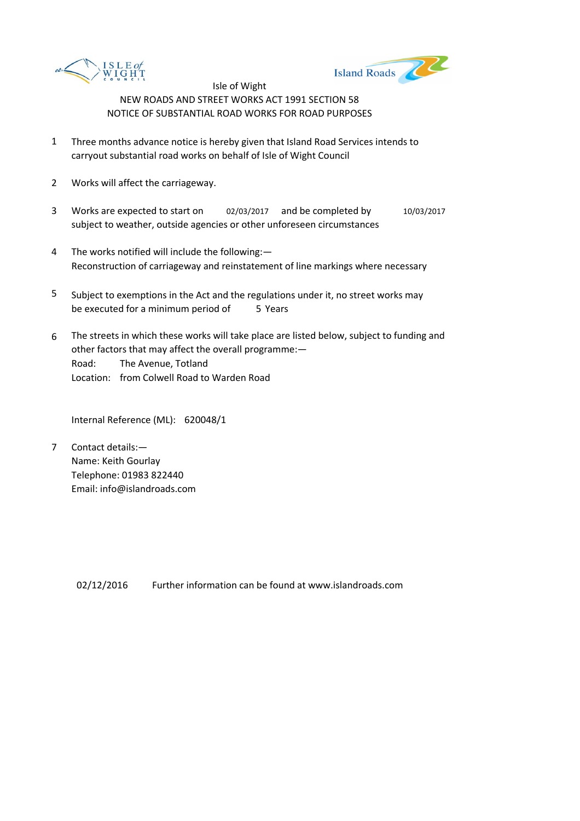



- 1 Three months advance notice is hereby given that Island Road Services intends to carryout substantial road works on behalf of Isle of Wight Council
- 2 Works will affect the carriageway.
- 3 Works are expected to start on 02/03/2017 and be completed by 10/03/2017 subject to weather, outside agencies or other unforeseen circumstances
- 4 The works notified will include the following:— Reconstruction of carriageway and reinstatement of line markings where necessary
- 5 be executed for a minimum period of 5 Years Subject to exemptions in the Act and the regulations under it, no street works may
- 6 Road: The Avenue, Totland Location: from Colwell Road to Warden Road The streets in which these works will take place are listed below, subject to funding and other factors that may affect the overall programme:—

Internal Reference (ML): 620048/1

7 Contact details:— Name: Keith Gourlay Telephone: 01983 822440 Email: info@islandroads.com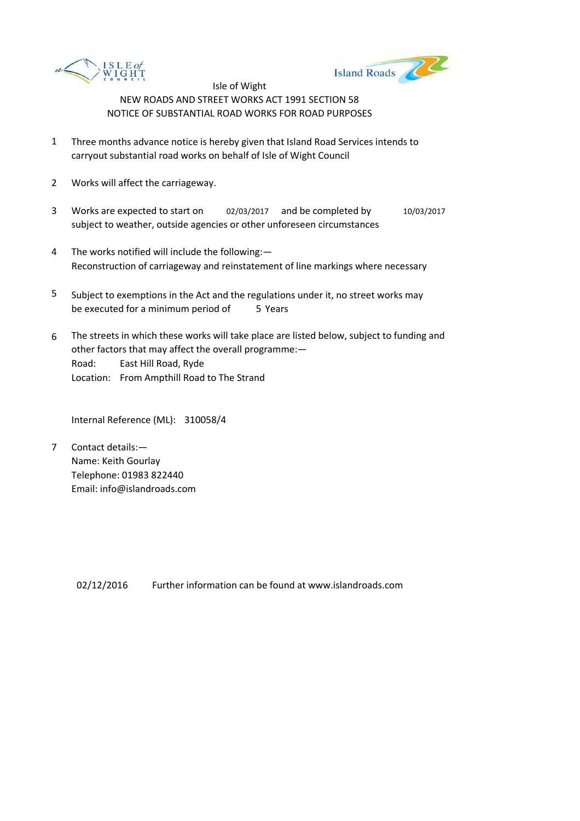



- 1 Three months advance notice is hereby given that Island Road Services intends to carryout substantial road works on behalf of Isle of Wight Council
- 2 Works will affect the carriageway.
- 3 Works are expected to start on 02/03/2017 and be completed by 10/03/2017 subject to weather, outside agencies or other unforeseen circumstances
- 4 The works notified will include the following:— Reconstruction of carriageway and reinstatement of line markings where necessary
- 5 be executed for a minimum period of 5 Years Subject to exemptions in the Act and the regulations under it, no street works may
- 6 Road: East Hill Road, Ryde Location: From Ampthill Road to The Strand The streets in which these works will take place are listed below, subject to funding and other factors that may affect the overall programme:—

Internal Reference (ML): 310058/4

7 Contact details:— Name: Keith Gourlay Telephone: 01983 822440 Email: info@islandroads.com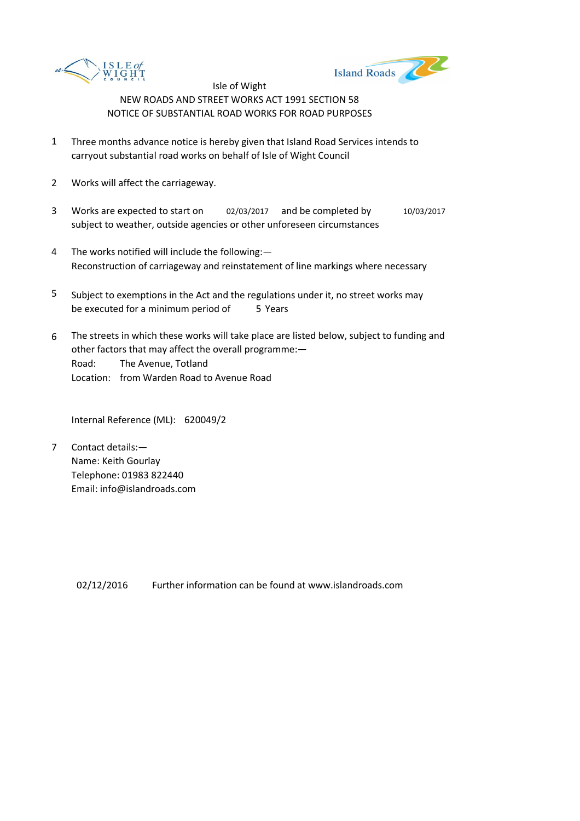



- 1 Three months advance notice is hereby given that Island Road Services intends to carryout substantial road works on behalf of Isle of Wight Council
- 2 Works will affect the carriageway.
- 3 Works are expected to start on 02/03/2017 and be completed by 10/03/2017 subject to weather, outside agencies or other unforeseen circumstances
- 4 The works notified will include the following:— Reconstruction of carriageway and reinstatement of line markings where necessary
- 5 be executed for a minimum period of 5 Years Subject to exemptions in the Act and the regulations under it, no street works may
- 6 Road: The Avenue, Totland Location: from Warden Road to Avenue Road The streets in which these works will take place are listed below, subject to funding and other factors that may affect the overall programme:—

Internal Reference (ML): 620049/2

7 Contact details:— Name: Keith Gourlay Telephone: 01983 822440 Email: info@islandroads.com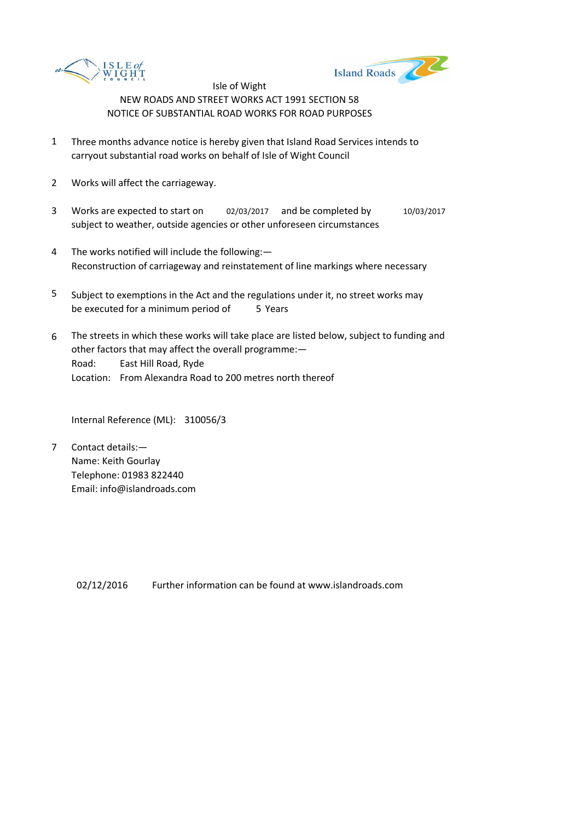



- 1 Three months advance notice is hereby given that Island Road Services intends to carryout substantial road works on behalf of Isle of Wight Council
- 2 Works will affect the carriageway.
- 3 Works are expected to start on 02/03/2017 and be completed by 10/03/2017 subject to weather, outside agencies or other unforeseen circumstances
- 4 The works notified will include the following:— Reconstruction of carriageway and reinstatement of line markings where necessary
- 5 be executed for a minimum period of 5 Years Subject to exemptions in the Act and the regulations under it, no street works may
- 6 Road: East Hill Road, Ryde Location: From Alexandra Road to 200 metres north thereof The streets in which these works will take place are listed below, subject to funding and other factors that may affect the overall programme:—

Internal Reference (ML): 310056/3

7 Contact details:— Name: Keith Gourlay Telephone: 01983 822440 Email: info@islandroads.com